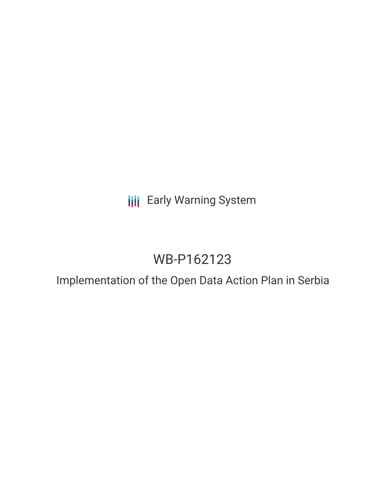## **III** Early Warning System

# WB-P162123

## Implementation of the Open Data Action Plan in Serbia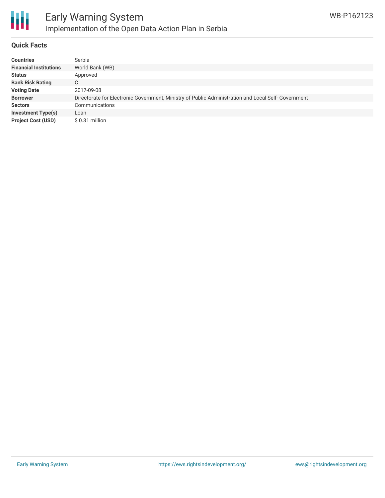

### **Quick Facts**

| <b>Countries</b>              | Serbia                                                                                              |
|-------------------------------|-----------------------------------------------------------------------------------------------------|
| <b>Financial Institutions</b> | World Bank (WB)                                                                                     |
| <b>Status</b>                 | Approved                                                                                            |
| <b>Bank Risk Rating</b>       | C                                                                                                   |
| <b>Voting Date</b>            | 2017-09-08                                                                                          |
| <b>Borrower</b>               | Directorate for Electronic Government, Ministry of Public Administration and Local Self- Government |
| <b>Sectors</b>                | Communications                                                                                      |
| <b>Investment Type(s)</b>     | Loan                                                                                                |
| <b>Project Cost (USD)</b>     | $$0.31$ million                                                                                     |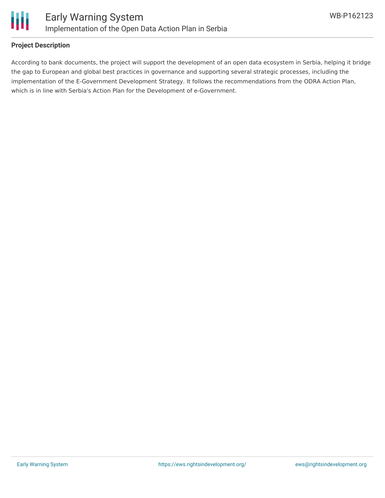

### **Project Description**

According to bank documents, the project will support the development of an open data ecosystem in Serbia, helping it bridge the gap to European and global best practices in governance and supporting several strategic processes, including the implementation of the E-Government Development Strategy. It follows the recommendations from the ODRA Action Plan, which is in line with Serbia's Action Plan for the Development of e-Government.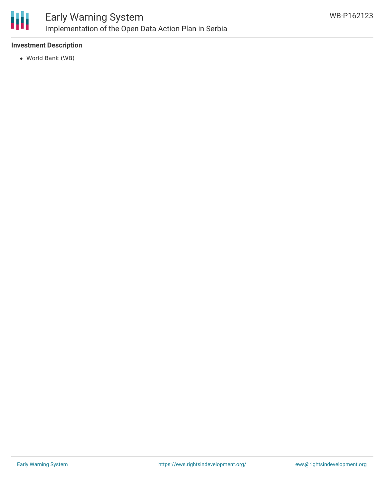

### Early Warning System Implementation of the Open Data Action Plan in Serbia

### **Investment Description**

World Bank (WB)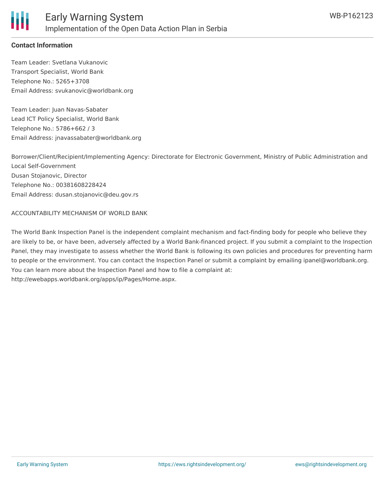

### **Contact Information**

Team Leader: Svetlana Vukanovic Transport Specialist, World Bank Telephone No.: 5265+3708 Email Address: svukanovic@worldbank.org

Team Leader: Juan Navas-Sabater Lead ICT Policy Specialist, World Bank Telephone No.: 5786+662 / 3 Email Address: jnavassabater@worldbank.org

Borrower/Client/Recipient/Implementing Agency: Directorate for Electronic Government, Ministry of Public Administration and Local Self-Government Dusan Stojanovic, Director Telephone No.: 00381608228424 Email Address: dusan.stojanovic@deu.gov.rs

ACCOUNTABILITY MECHANISM OF WORLD BANK

The World Bank Inspection Panel is the independent complaint mechanism and fact-finding body for people who believe they are likely to be, or have been, adversely affected by a World Bank-financed project. If you submit a complaint to the Inspection Panel, they may investigate to assess whether the World Bank is following its own policies and procedures for preventing harm to people or the environment. You can contact the Inspection Panel or submit a complaint by emailing ipanel@worldbank.org. You can learn more about the Inspection Panel and how to file a complaint at: http://ewebapps.worldbank.org/apps/ip/Pages/Home.aspx.